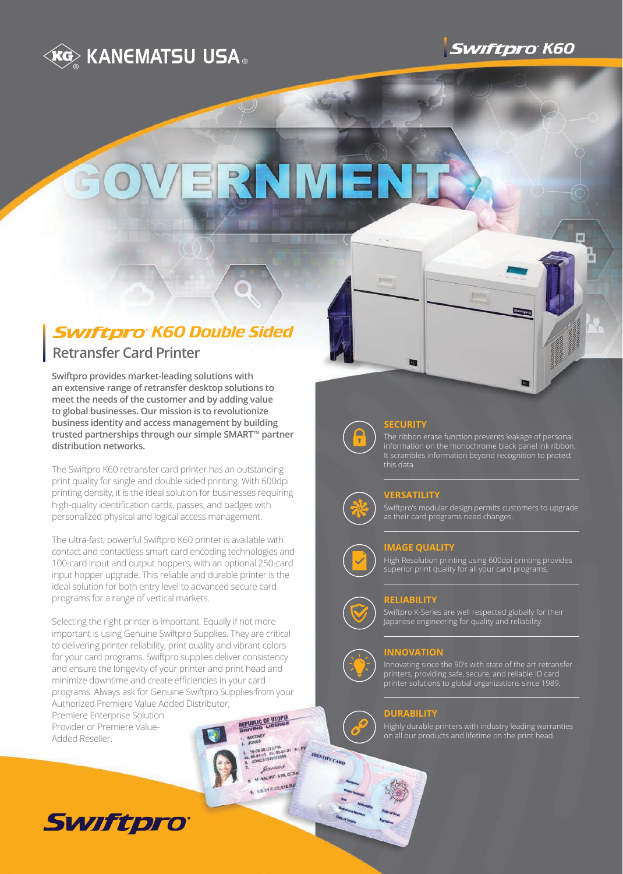



# RNME

# *<u>Swiftpro</u>* K60 Double Sided

# **Retransfer Card Printer**

**Swiftpro provides market-leading solutions with an extensive range of retransfer desktop solutions to meet the needs of the customer and by adding value to global businesses. Our mission is to revolutionize business identity and access management by building**  trusted partnerships through our simple SMART<sup>™</sup> partner **distribution networks.**

The Swiftpro K60 retransfer card printer has an outstanding print quality for single and double sided printing. With 600dpi printing density, it is the ideal solution for businesses requiring high-quality identification cards, passes, and badges with personalized physical and logical access management.

The ultra-fast, powerful Swiftpro K60 printer is available with contact and contactless smart card encoding technologies and 100-card input and output hoppers, with an optional 250-card input hopper upgrade. This reliable and durable printer is the ideal solution for both entry level to advanced secure card programs for a range of vertical markets.

Selecting the right printer is important. Equally if not more important is using Genuine Swiftpro Supplies. They are critical to delivering printer reliability, print quality and vibrant colors for your card programs. Swiftpro supplies deliver consistency and ensure the longevity of your printer and print head and minimize downtime and create efficiencies in your card programs. Always ask for Genuine Swiftpro Supplies from your Authorized Premiere Value Added Distributor,

Premiere Enterprise Solution Provider or Premiere Value-Added Reseller.

EY<br>90 UTOPIA<br>11 45, 05-01-21 4-1-FV<br>151345676390 16.08-901 gones VALNUT STR. DREA

ABBACCECIEDE

**IDENTITY CARD** 







## **SECURITY**

The ribbon erase function prevents leakage of personal information on the monochrome black panel ink ribbon. It scrambles information beyond recognition to protect this data.

 $T =$ 

# **VERSATILITY**

Swiftpro's modular design permits customers to upgrade as their card programs need changes.

# **IMAGE QUALITY**

High Resolution printing using 600dpi printing provides superior print quality for all your card programs.

# **RELIABILITY**

Swiftpro K-Series are well respected globally for their Japanese engineering for quality and reliability.

## **INNOVATION**

Innovating since the 90's with state of the art retransfer printers, providing safe, secure, and reliable ID card printer solutions to global organizations since 1989.

#### **DURABILITY**

Highly durable printers with industry leading warranties on all our products and lifetime on the print head.